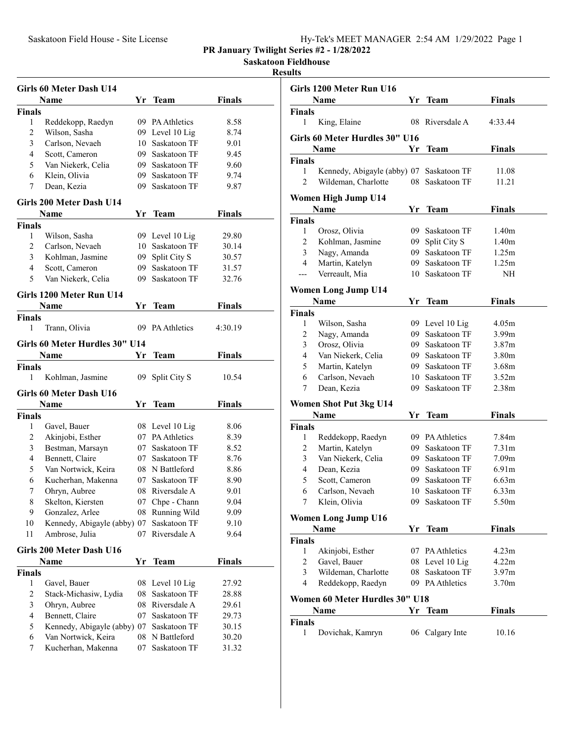|  | Hv-Tek's MEET MANAGER 2:54 AM 1/29/2022 Page 1 |  |  |
|--|------------------------------------------------|--|--|
|  |                                                |  |  |

**Saskatoon Fieldhouse**

## **Results**

|                          | Girls 60 Meter Dash U14                   |          |                              |                |
|--------------------------|-------------------------------------------|----------|------------------------------|----------------|
|                          | Name                                      | Yr       | <b>Team</b>                  | <b>Finals</b>  |
| <b>Finals</b>            |                                           |          |                              |                |
| 1                        | Reddekopp, Raedyn                         |          | 09 PA Athletics              | 8.58           |
| 2                        | Wilson, Sasha                             |          | 09 Level 10 Lig              | 8.74           |
| 3                        | Carlson, Nevaeh                           |          | 10 Saskatoon TF              | 9.01           |
| $\overline{\mathcal{L}}$ | Scott, Cameron                            |          | 09 Saskatoon TF              | 9.45           |
| 5                        | Van Niekerk, Celia                        |          | 09 Saskatoon TF              | 9.60           |
| 6                        | Klein, Olivia                             |          | 09 Saskatoon TF              | 9.74           |
| 7                        | Dean, Kezia                               |          | 09 Saskatoon TF              | 9.87           |
|                          | Girls 200 Meter Dash U14                  |          |                              |                |
|                          | Name                                      |          | Yr Team                      | Finals         |
| Finals                   |                                           |          |                              |                |
| 1                        | Wilson, Sasha                             |          | 09 Level 10 Lig              | 29.80          |
| 2                        | Carlson, Nevaeh                           |          | 10 Saskatoon TF              | 30.14          |
| 3                        | Kohlman, Jasmine                          |          | 09 Split City S              | 30.57          |
| 4                        | Scott, Cameron                            |          | 09 Saskatoon TF              | 31.57          |
| 5                        | Van Niekerk, Celia                        |          | 09 Saskatoon TF              | 32.76          |
|                          | Girls 1200 Meter Run U14                  |          |                              |                |
|                          | Name                                      | Yr       | <b>Team</b>                  | <b>Finals</b>  |
| <b>Finals</b>            |                                           |          |                              |                |
| 1                        | Trann, Olivia                             | 09       | <b>PA Athletics</b>          | 4:30.19        |
|                          | Girls 60 Meter Hurdles 30" U14            |          |                              |                |
|                          | Name                                      | Υr       | <b>Team</b>                  | <b>Finals</b>  |
| <b>Finals</b>            |                                           |          |                              |                |
| 1                        | Kohlman, Jasmine                          | 09       | Split City S                 | 10.54          |
|                          |                                           |          |                              |                |
|                          | Girls 60 Meter Dash U16                   |          |                              |                |
|                          | <b>Name</b>                               | Yr       | <b>Team</b>                  | <b>Finals</b>  |
| Finals                   |                                           |          |                              |                |
| 1                        | Gavel, Bauer                              |          | 08 Level 10 Lig              | 8.06           |
| 2                        | Akinjobi, Esther                          |          | 07 PA Athletics              | 8.39           |
| 3                        | Bestman, Marsayn                          |          | 07 Saskatoon TF              | 8.52           |
| 4                        | Bennett, Claire                           |          | 07 Saskatoon TF              | 8.76           |
| 5                        | Van Nortwick, Keira                       |          | 08 N Battleford              | 8.86           |
| 6                        | Kucherhan, Makenna                        |          | 07 Saskatoon TF              | 8.90           |
| 7                        | Ohryn, Aubree                             |          | 08 Riversdale A              | 9.01           |
| 8                        | Skelton, Kiersten                         |          | 07 Chpe - Chann              | 9.04           |
| 9                        | Gonzalez, Arlee                           | 08       | Running Wild                 | 9.09           |
| 10                       | Kennedy, Abigayle (abby) 07               |          | Saskatoon TF                 | 9.10           |
| 11                       | Ambrose, Julia                            | 07       | Riversdale A                 | 9.64           |
|                          | Girls 200 Meter Dash U16                  |          |                              |                |
|                          | Name                                      | Yr       | <b>Team</b>                  | Finals         |
| <b>Finals</b>            |                                           |          |                              |                |
| 1                        | Gavel, Bauer                              | 08       | Level 10 Lig                 | 27.92          |
| 2                        | Stack-Michasiw, Lydia                     | 08       | Saskatoon TF                 | 28.88          |
| 3                        | Ohryn, Aubree                             |          | 08 Riversdale A              | 29.61          |
| 4                        | Bennett, Claire                           | 07       | Saskatoon TF                 | 29.73          |
| 5                        | Kennedy, Abigayle (abby) 07               |          | Saskatoon TF                 | 30.15          |
| 6                        |                                           |          |                              |                |
|                          |                                           |          |                              |                |
| 7                        | Van Nortwick, Keira<br>Kucherhan, Makenna | 08<br>07 | N Battleford<br>Saskatoon TF | 30.20<br>31.32 |

|                | Girls 1200 Meter Run U16                 |     |                 |                   |  |
|----------------|------------------------------------------|-----|-----------------|-------------------|--|
|                | Name                                     | Yr  | <b>Team</b>     | Finals            |  |
| <b>Finals</b>  |                                          |     |                 |                   |  |
| 1              | King, Elaine                             | 08  | Riversdale A    | 4:33.44           |  |
|                | Girls 60 Meter Hurdles 30" U16           |     |                 |                   |  |
|                | Name                                     | Υr  | <b>Team</b>     | Finals            |  |
| <b>Finals</b>  |                                          |     |                 |                   |  |
| 1              | Kennedy, Abigayle (abby) 07 Saskatoon TF |     |                 | 11.08             |  |
| $\overline{c}$ | Wildeman, Charlotte                      | 08  | Saskatoon TF    | 11.21             |  |
|                | Women High Jump U14                      |     |                 |                   |  |
|                | Name                                     | Yr  | Team            | Finals            |  |
| <b>Finals</b>  |                                          |     |                 |                   |  |
| 1              | Orosz, Olivia                            | 09. | Saskatoon TF    | 1.40m             |  |
| 2              | Kohlman, Jasmine                         | 09  | Split City S    | 1.40 <sub>m</sub> |  |
| 3              | Nagy, Amanda                             | 09. | Saskatoon TF    | 1.25m             |  |
| 4              | Martin, Katelyn                          | 09- | Saskatoon TF    | 1.25m             |  |
| ---            | Verreault, Mia                           | 10  | Saskatoon TF    | NΗ                |  |
|                | <b>Women Long Jump U14</b>               |     |                 |                   |  |
|                | Name                                     | Yr  | <b>Team</b>     | <b>Finals</b>     |  |
| <b>Finals</b>  |                                          |     |                 |                   |  |
| 1              | Wilson, Sasha                            |     | 09 Level 10 Lig | 4.05m             |  |
| 2              | Nagy, Amanda                             |     | 09 Saskatoon TF | 3.99m             |  |
| 3              | Orosz, Olivia                            |     | 09 Saskatoon TF | 3.87m             |  |
| 4              | Van Niekerk, Celia                       |     | 09 Saskatoon TF | 3.80m             |  |
| 5              | Martin, Katelyn                          |     | 09 Saskatoon TF | 3.68m             |  |
| 6              | Carlson, Nevaeh                          |     | 10 Saskatoon TF | 3.52m             |  |
| 7              | Dean, Kezia                              | 09- | Saskatoon TF    | 2.38m             |  |
|                | <b>Women Shot Put 3kg U14</b>            |     |                 |                   |  |
|                | Name                                     | Yr  | <b>Team</b>     | <b>Finals</b>     |  |
| <b>Finals</b>  |                                          |     |                 |                   |  |
| 1              | Reddekopp, Raedyn                        |     | 09 PA Athletics | 7.84m             |  |
| 2              | Martin, Katelyn                          | 09. | Saskatoon TF    | 7.31m             |  |
| 3              | Van Niekerk, Celia                       |     | 09 Saskatoon TF | 7.09m             |  |
| 4              | Dean, Kezia                              |     | 09 Saskatoon TF | 6.91 <sub>m</sub> |  |
| 5              | Scott, Cameron                           |     | 09 Saskatoon TF | 6.63m             |  |
| 6              | Carlson, Nevaeh                          | 10  | Saskatoon TF    | 6.33m             |  |
| 7              | Klein, Olivia                            |     | 09 Saskatoon TF | 5.50m             |  |
|                | <b>Women Long Jump U16</b>               |     |                 |                   |  |
|                | Name                                     | Yr  | Team            | <b>Finals</b>     |  |
| <b>Finals</b>  |                                          |     |                 |                   |  |
| 1              | Akinjobi, Esther                         |     | 07 PA Athletics | 4.23m             |  |
| 2              | Gavel, Bauer                             |     | 08 Level 10 Lig | 4.22m             |  |
| 3              | Wildeman, Charlotte                      | 08  | Saskatoon TF    | 3.97m             |  |
| 4              | Reddekopp, Raedyn                        |     | 09 PA Athletics | 3.70 <sub>m</sub> |  |
|                | Women 60 Meter Hurdles 30" U18           |     |                 |                   |  |
|                | Name                                     | Yr  | <b>Team</b>     | <b>Finals</b>     |  |
| <b>Finals</b>  |                                          |     |                 |                   |  |
| 1              | Dovichak, Kamryn                         |     | 06 Calgary Inte | 10.16             |  |
|                |                                          |     |                 |                   |  |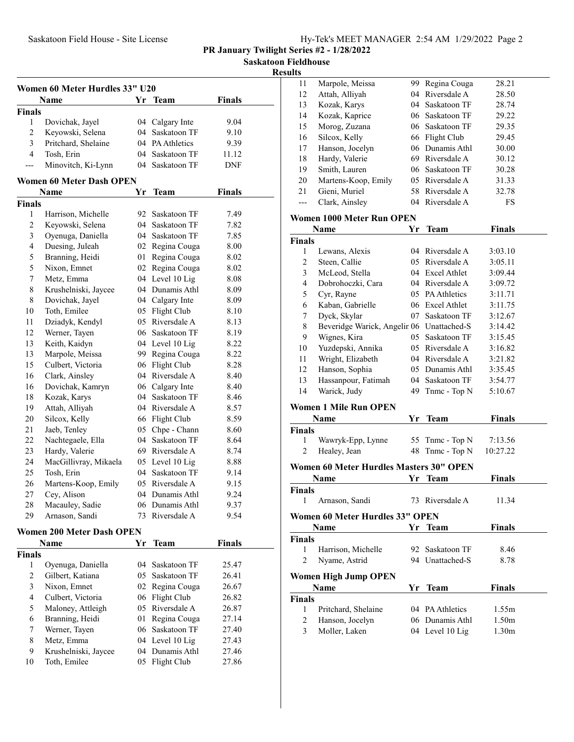**Saskatoon Fieldhouse**

**Results**

|                | Women 60 Meter Hurdles 33" U20   |    |                                 |               |  |
|----------------|----------------------------------|----|---------------------------------|---------------|--|
|                | Name                             | Yr | <b>Team</b>                     | <b>Finals</b> |  |
| <b>Finals</b>  |                                  |    |                                 |               |  |
| 1              | Dovichak, Jayel                  | 04 | Calgary Inte                    | 9.04          |  |
| 2              | Keyowski, Selena                 | 04 | Saskatoon TF                    | 9.10          |  |
| 3              | Pritchard, Shelaine              |    | 04 PA Athletics                 | 9.39          |  |
| 4              | Tosh, Erin                       | 04 | Saskatoon TF                    | 11.12         |  |
| ---            | Minovitch, Ki-Lynn               | 04 | Saskatoon TF                    | DNF           |  |
|                | <b>Women 60 Meter Dash OPEN</b>  |    |                                 |               |  |
|                | Name                             | Υr | <b>Team</b>                     | Finals        |  |
| <b>Finals</b>  |                                  |    |                                 |               |  |
| 1              | Harrison, Michelle               | 92 | Saskatoon TF                    | 7.49          |  |
| $\overline{c}$ | Keyowski, Selena                 |    | 04 Saskatoon TF                 | 7.82          |  |
| 3              | Oyenuga, Daniella                |    | 04 Saskatoon TF                 | 7.85          |  |
| 4              | Duesing, Juleah                  |    | 02 Regina Couga                 | 8.00          |  |
| 5              |                                  | 01 |                                 |               |  |
|                | Branning, Heidi                  |    | Regina Couga                    | 8.02          |  |
| 5              | Nixon, Emnet                     |    | 02 Regina Couga                 | 8.02          |  |
| 7              | Metz, Emma                       |    | 04 Level 10 Lig<br>Dunamis Athl | 8.08          |  |
| 8              | Krushelniski, Jaycee             | 04 |                                 | 8.09          |  |
| 8              | Dovichak, Jayel                  | 04 | Calgary Inte                    | 8.09          |  |
| 10             | Toth, Emilee                     | 05 | Flight Club                     | 8.10          |  |
| 11             | Dziadyk, Kendyl                  | 05 | Riversdale A                    | 8.13          |  |
| 12             | Werner, Tayen                    | 06 | Saskatoon TF                    | 8.19          |  |
| 13             | Keith, Kaidyn                    |    | 04 Level 10 Lig                 | 8.22          |  |
| 13             | Marpole, Meissa                  |    | 99 Regina Couga                 | 8.22          |  |
| 15             | Culbert, Victoria                |    | 06 Flight Club                  | 8.28          |  |
| 16             | Clark, Ainsley                   |    | 04 Riversdale A                 | 8.40          |  |
| 16             | Dovichak, Kamryn                 |    | 06 Calgary Inte                 | 8.40          |  |
| 18             | Kozak, Karys                     |    | 04 Saskatoon TF                 | 8.46          |  |
| 19             | Attah, Alliyah                   |    | 04 Riversdale A                 | 8.57          |  |
| 20             | Silcox, Kelly                    |    | 66 Flight Club                  | 8.59          |  |
| 21             | Jaeb, Tenley                     | 05 | Chpe - Chann                    | 8.60          |  |
| 22             | Nachtegaele, Ella                | 04 | Saskatoon TF                    | 8.64          |  |
| 23             | Hardy, Valerie                   |    | 69 Riversdale A                 | 8.74          |  |
| 24             | MacGillivray, Mikaela            | 05 | Level 10 Lig                    | 8.88          |  |
| 25             | Tosh, Erin                       | 04 | Saskatoon TF                    | 9.14          |  |
| 26             | Martens-Koop, Emily              |    | 05 Riversdale A                 | 9.15          |  |
| 27             | Cey, Alison                      | 04 | Dunamis Athl                    | 9.24          |  |
| 28             | Macauley, Sadie                  |    | 06 Dunamis Athl                 | 9.37          |  |
| 29             | Arnason, Sandi                   | 73 | Riversdale A                    | 9.54          |  |
|                | <b>Women 200 Meter Dash OPEN</b> |    |                                 |               |  |
|                | Name                             | Yr | Team                            | <b>Finals</b> |  |
| <b>Finals</b>  |                                  |    |                                 |               |  |
| 1              | Oyenuga, Daniella                | 04 | Saskatoon TF                    | 25.47         |  |
| 2              | Gilbert, Katiana                 | 05 | Saskatoon TF                    | 26.41         |  |
| 3              | Nixon, Emnet                     | 02 | Regina Couga                    | 26.67         |  |
| 4              | Culbert, Victoria                | 06 | Flight Club                     | 26.82         |  |
| 5              | Maloney, Attleigh                | 05 | Riversdale A                    | 26.87         |  |
| 6              | Branning, Heidi                  | 01 | Regina Couga                    | 27.14         |  |
| 7              | Werner, Tayen                    |    | 06 Saskatoon TF                 | 27.40         |  |
| 8              | Metz, Emma                       |    | 04 Level 10 Lig                 | 27.43         |  |
| 9              | Krushelniski, Jaycee             |    | 04 Dunamis Athl                 | 27.46         |  |
| 10             | Toth, Emilee                     | 05 | Flight Club                     | 27.86         |  |
|                |                                  |    |                                 |               |  |

| 11                      | Marpole, Meissa                           | 99-  | Regina Couga                       | 28.21          |  |
|-------------------------|-------------------------------------------|------|------------------------------------|----------------|--|
| 12                      | Attah, Alliyah                            |      | 04 Riversdale A                    | 28.50          |  |
| 13                      | Kozak, Karys                              |      | 04 Saskatoon TF                    | 28.74          |  |
| 14                      | Kozak, Kaprice                            |      | 06 Saskatoon TF                    | 29.22          |  |
| 15                      | Morog, Zuzana                             |      | 06 Saskatoon TF                    | 29.35          |  |
| 16                      | Silcox, Kelly                             |      | 66 Flight Club                     | 29.45          |  |
| 17                      | Hanson, Jocelyn                           |      | 06 Dunamis Athl                    | 30.00          |  |
| 18                      | Hardy, Valerie                            |      | 69 Riversdale A                    | 30.12          |  |
| 19                      | Smith, Lauren                             |      | 06 Saskatoon TF                    | 30.28          |  |
| 20                      | Martens-Koop, Emily                       |      | 05 Riversdale A                    | 31.33          |  |
| 21                      | Gieni, Muriel                             |      | 58 Riversdale A                    | 32.78          |  |
| ---                     | Clark, Ainsley                            |      | 04 Riversdale A                    | FS             |  |
|                         | Women 1000 Meter Run OPEN                 |      |                                    |                |  |
|                         | Name                                      | Yr.  | <b>Team</b>                        | Finals         |  |
| <b>Finals</b>           |                                           |      |                                    |                |  |
| 1                       | Lewans, Alexis                            |      | 04 Riversdale A                    | 3:03.10        |  |
| 2                       | Steen, Callie                             |      | 05 Riversdale A                    | 3:05.11        |  |
| 3                       | McLeod, Stella                            |      | 04 Excel Athlet                    | 3:09.44        |  |
| $\overline{\mathbf{4}}$ | Dobrohoczki, Cara                         |      | 04 Riversdale A                    | 3:09.72        |  |
| 5                       | Cyr, Rayne                                |      | 05 PA Athletics                    | 3:11.71        |  |
| 6                       | Kaban, Gabrielle                          |      | 06 Excel Athlet                    | 3:11.75        |  |
| 7                       | Dyck, Skylar                              |      | 07 Saskatoon TF                    | 3:12.67        |  |
| $\,$ $\,$               | Beveridge Warick, Angelir 06 Unattached-S |      |                                    | 3:14.42        |  |
| 9                       | Wignes, Kira                              |      | 05 Saskatoon TF                    | 3:15.45        |  |
| 10                      | Yuzdepski, Annika                         |      | 05 Riversdale A                    | 3:16.82        |  |
| 11                      | Wright, Elizabeth                         |      | 04 Riversdale A                    | 3:21.82        |  |
| 12                      | Hanson, Sophia                            |      | 05 Dunamis Athl                    | 3:35.45        |  |
| 13                      | Hassanpour, Fatimah                       |      | 04 Saskatoon TF                    | 3:54.77        |  |
| 14                      | Warick, Judy                              | 49   | Tnmc - Top N                       | 5:10.67        |  |
|                         |                                           |      |                                    |                |  |
|                         | <b>Women 1 Mile Run OPEN</b>              |      |                                    |                |  |
|                         | <b>Name</b>                               | Yr   | Team                               | Finals         |  |
| <b>Finals</b>           |                                           |      |                                    |                |  |
| 1                       | Wawryk-Epp, Lynne                         |      | 55 Tnmc - Top N                    | 7:13.56        |  |
| $\overline{c}$          | Healey, Jean                              | 48   | Tnmc - Top N                       | 10:27.22       |  |
|                         | Women 60 Meter Hurdles Masters 30" OPEN   |      |                                    |                |  |
|                         | Name                                      | Yr   | <b>Team</b>                        | <b>Finals</b>  |  |
| <b>Finals</b>           |                                           |      |                                    |                |  |
| 1                       | Arnason, Sandi                            |      | 73 Riversdale A                    | 11.34          |  |
|                         | Women 60 Meter Hurdles 33" OPEN           |      |                                    |                |  |
|                         | Name                                      | Yr - | <b>Team</b>                        | Finals         |  |
| Finals                  |                                           |      |                                    |                |  |
| 1                       | Harrison, Michelle                        | 92   | Saskatoon TF                       | 8.46           |  |
| 2                       | Nyame, Astrid                             |      | 94 Unattached-S                    | 8.78           |  |
|                         |                                           |      |                                    |                |  |
|                         | <b>Women High Jump OPEN</b>               |      |                                    |                |  |
|                         | Name                                      | Yr   | <b>Team</b>                        | Finals         |  |
| <b>Finals</b><br>1      |                                           |      |                                    |                |  |
| 2                       | Pritchard, Shelaine                       |      | 04 PA Athletics<br>06 Dunamis Athl | 1.55m<br>1.50m |  |
| 3                       | Hanson, Jocelyn                           |      |                                    |                |  |
|                         | Moller, Laken                             |      | 04 Level 10 Lig                    | 1.30m          |  |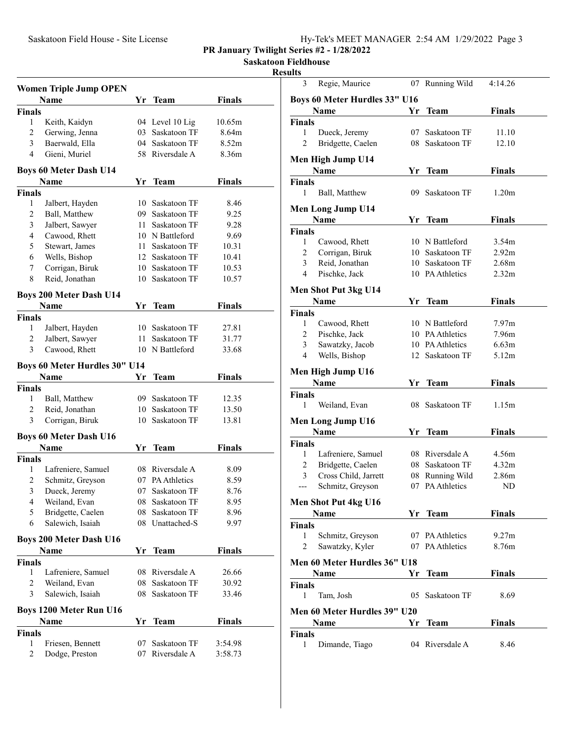**Saskatoon Fieldhouse**

## **Results**

|                | <b>Women Triple Jump OPEN</b>  |      |                 |               |  |
|----------------|--------------------------------|------|-----------------|---------------|--|
|                | Name                           |      | Yr Team         | <b>Finals</b> |  |
| Finals         |                                |      |                 |               |  |
| 1              | Keith, Kaidyn                  |      | 04 Level 10 Lig | 10.65m        |  |
| $\overline{c}$ | Gerwing, Jenna                 | 03   | Saskatoon TF    | 8.64m         |  |
| 3              | Baerwald, Ella                 | 04   | Saskatoon TF    | 8.52m         |  |
| 4              | Gieni, Muriel                  |      | 58 Riversdale A | 8.36m         |  |
|                | <b>Boys 60 Meter Dash U14</b>  |      |                 |               |  |
|                | Name                           | Υr   | Team            | Finals        |  |
| Finals         |                                |      |                 |               |  |
| 1              | Jalbert, Hayden                |      | 10 Saskatoon TF | 8.46          |  |
| $\overline{c}$ | Ball, Matthew                  |      | 09 Saskatoon TF | 9.25          |  |
| 3              | Jalbert, Sawyer                | 11 - | Saskatoon TF    | 9.28          |  |
| 4              | Cawood, Rhett                  |      | 10 N Battleford | 9.69          |  |
| 5              | Stewart, James                 |      | 11 Saskatoon TF | 10.31         |  |
| 6              | Wells, Bishop                  |      | 12 Saskatoon TF | 10.41         |  |
| 7              | Corrigan, Biruk                |      | 10 Saskatoon TF | 10.53         |  |
| 8              | Reid, Jonathan                 | 10 - | Saskatoon TF    | 10.57         |  |
|                | Boys 200 Meter Dash U14        |      |                 |               |  |
|                | Name                           | Yr   | <b>Team</b>     | Finals        |  |
| <b>Finals</b>  |                                |      |                 |               |  |
| 1              | Jalbert, Hayden                |      | 10 Saskatoon TF | 27.81         |  |
| 2              | Jalbert, Sawyer                | 11 - | Saskatoon TF    | 31.77         |  |
| 3              | Cawood, Rhett                  |      | 10 N Battleford | 33.68         |  |
|                |                                |      |                 |               |  |
|                | Boys 60 Meter Hurdles 30" U14  |      |                 |               |  |
|                | Name                           | Yr   | <b>Team</b>     | <b>Finals</b> |  |
| <b>Finals</b>  |                                |      |                 |               |  |
| 1<br>2         | Ball, Matthew                  | 09   | Saskatoon TF    | 12.35         |  |
|                | Reid, Jonathan                 | 10   | Saskatoon TF    | 13.50         |  |
| 3              | Corrigan, Biruk                | 10   | Saskatoon TF    | 13.81         |  |
|                | <b>Boys 60 Meter Dash U16</b>  |      |                 |               |  |
|                | Name                           | Yr   | <b>Team</b>     | Finals        |  |
| <b>Finals</b>  |                                |      |                 |               |  |
| 1              | Lafreniere, Samuel             |      | 08 Riversdale A | 8.09          |  |
| 2              | Schmitz, Greyson               |      | 07 PA Athletics | 8.59          |  |
| 3              | Dueck, Jeremy                  | 07   | Saskatoon TF    | 8.76          |  |
| 4              | Weiland, Evan                  |      | 08 Saskatoon TF | 8.95          |  |
| 5              | Bridgette, Caelen              | 08   | Saskatoon TF    | 8.96          |  |
| 6              | Salewich, Isaiah               | 08   | Unattached-S    | 9.97          |  |
|                | <b>Boys 200 Meter Dash U16</b> |      |                 |               |  |
|                | Name                           | Yr   | <b>Team</b>     | <b>Finals</b> |  |
| <b>Finals</b>  |                                |      |                 |               |  |
| 1              | Lafreniere, Samuel             |      | 08 Riversdale A | 26.66         |  |
| 2              | Weiland, Evan                  | 08   | Saskatoon TF    | 30.92         |  |
| 3              | Salewich, Isaiah               | 08   | Saskatoon TF    | 33.46         |  |
|                | <b>Boys 1200 Meter Run U16</b> |      |                 |               |  |
|                | Name                           | Yr   | <b>Team</b>     | Finals        |  |
| <b>Finals</b>  |                                |      |                 |               |  |
| 1              | Friesen, Bennett               | 07   | Saskatoon TF    | 3:54.98       |  |
| 2              | Dodge, Preston                 |      | 07 Riversdale A | 3:58.73       |  |
|                |                                |      |                 |               |  |

| ılts           |                               |      |                 |                   |  |
|----------------|-------------------------------|------|-----------------|-------------------|--|
| 3              | Regie, Maurice                | 07   | Running Wild    | 4:14.26           |  |
|                | Boys 60 Meter Hurdles 33" U16 |      |                 |                   |  |
|                | Name                          | Yr   | Team            | <b>Finals</b>     |  |
| Finals         |                               |      |                 |                   |  |
| 1              | Dueck, Jeremy                 | 07   | Saskatoon TF    | 11.10             |  |
| 2              | Bridgette, Caelen             | 08   | Saskatoon TF    | 12.10             |  |
|                | Men High Jump U14             |      |                 |                   |  |
|                | Name                          | Υr   | <b>Team</b>     | <b>Finals</b>     |  |
| Finals         |                               |      |                 |                   |  |
| 1              | Ball, Matthew                 |      | 09 Saskatoon TF | 1.20 <sub>m</sub> |  |
|                | Men Long Jump U14             |      |                 |                   |  |
|                | Name                          | Yr.  | Team            | <b>Finals</b>     |  |
| Finals         |                               |      |                 |                   |  |
| 1              | Cawood, Rhett                 |      | 10 N Battleford | 3.54m             |  |
| 2              | Corrigan, Biruk               |      | 10 Saskatoon TF | 2.92m             |  |
| 3              | Reid, Jonathan                |      | 10 Saskatoon TF | 2.68m             |  |
| $\overline{4}$ | Pischke, Jack                 |      | 10 PA Athletics | 2.32 <sub>m</sub> |  |
|                | Men Shot Put 3kg U14          |      |                 |                   |  |
|                | Name                          | Υr   | Team            | Finals            |  |
| Finals         |                               |      |                 |                   |  |
| 1              | Cawood, Rhett                 |      | 10 N Battleford | 7.97m             |  |
| 2              | Pischke, Jack                 |      | 10 PA Athletics | 7.96m             |  |
| 3              | Sawatzky, Jacob               |      | 10 PA Athletics | 6.63m             |  |
| 4              | Wells, Bishop                 |      | 12 Saskatoon TF | 5.12m             |  |
|                | Men High Jump U16             |      |                 |                   |  |
|                | Name                          | Yr   | <b>Team</b>     | <b>Finals</b>     |  |
| Finals         |                               |      |                 |                   |  |
| 1              | Weiland, Evan                 | 08   | Saskatoon TF    | 1.15m             |  |
|                | <b>Men Long Jump U16</b>      |      |                 |                   |  |
|                | <b>Name</b>                   | Yr - | <b>Team</b>     | <b>Finals</b>     |  |
| Finals         |                               |      |                 |                   |  |
| 1              | Lafreniere, Samuel            |      | 08 Riversdale A | 4.56m             |  |
| 2              | Bridgette, Caelen             |      | 08 Saskatoon TF | 4.32m             |  |
| 3              | Cross Child, Jarrett          |      | 08 Running Wild | 2.86m             |  |
| ____           | Schmitz, Greyson              |      | 07 PA Athletics | ND                |  |
|                | Men Shot Put 4kg U16          |      |                 |                   |  |
|                | Name                          |      | Yr Team         | <b>Finals</b>     |  |
| Finals         |                               |      |                 |                   |  |
| 1              | Schmitz, Greyson              |      | 07 PA Athletics | 9.27m             |  |
| 2              | Sawatzky, Kyler               |      | 07 PA Athletics | 8.76m             |  |
|                | Men 60 Meter Hurdles 36" U18  |      |                 |                   |  |
|                |                               |      | Yr Team         | <b>Finals</b>     |  |
| Finals         |                               |      |                 |                   |  |
| 1              | Tam, Josh                     | 05   | Saskatoon TF    | 8.69              |  |
|                | Men 60 Meter Hurdles 39'' U20 |      |                 |                   |  |
|                | Name                          | Yr   | <b>Team</b>     | <b>Finals</b>     |  |
| Finals         |                               |      |                 |                   |  |
| 1              | Dimande, Tiago                |      | 04 Riversdale A | 8.46              |  |
|                |                               |      |                 |                   |  |